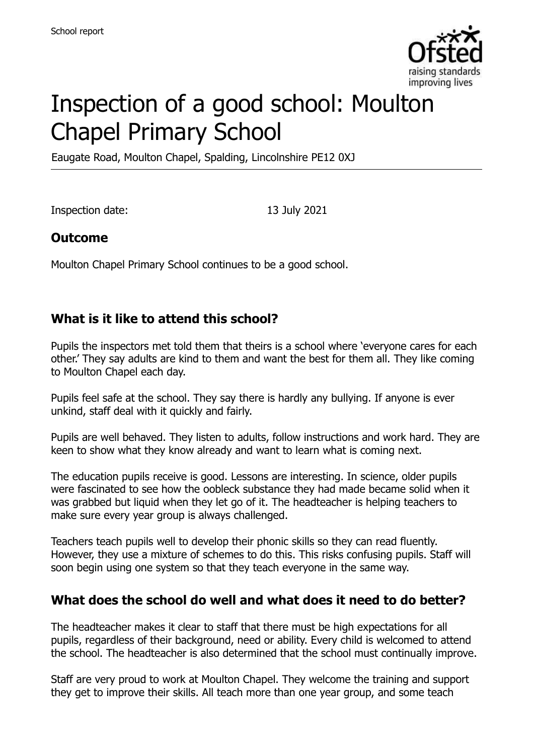

# Inspection of a good school: Moulton Chapel Primary School

Eaugate Road, Moulton Chapel, Spalding, Lincolnshire PE12 0XJ

Inspection date: 13 July 2021

#### **Outcome**

Moulton Chapel Primary School continues to be a good school.

## **What is it like to attend this school?**

Pupils the inspectors met told them that theirs is a school where 'everyone cares for each other.' They say adults are kind to them and want the best for them all. They like coming to Moulton Chapel each day.

Pupils feel safe at the school. They say there is hardly any bullying. If anyone is ever unkind, staff deal with it quickly and fairly.

Pupils are well behaved. They listen to adults, follow instructions and work hard. They are keen to show what they know already and want to learn what is coming next.

The education pupils receive is good. Lessons are interesting. In science, older pupils were fascinated to see how the oobleck substance they had made became solid when it was grabbed but liquid when they let go of it. The headteacher is helping teachers to make sure every year group is always challenged.

Teachers teach pupils well to develop their phonic skills so they can read fluently. However, they use a mixture of schemes to do this. This risks confusing pupils. Staff will soon begin using one system so that they teach everyone in the same way.

#### **What does the school do well and what does it need to do better?**

The headteacher makes it clear to staff that there must be high expectations for all pupils, regardless of their background, need or ability. Every child is welcomed to attend the school. The headteacher is also determined that the school must continually improve.

Staff are very proud to work at Moulton Chapel. They welcome the training and support they get to improve their skills. All teach more than one year group, and some teach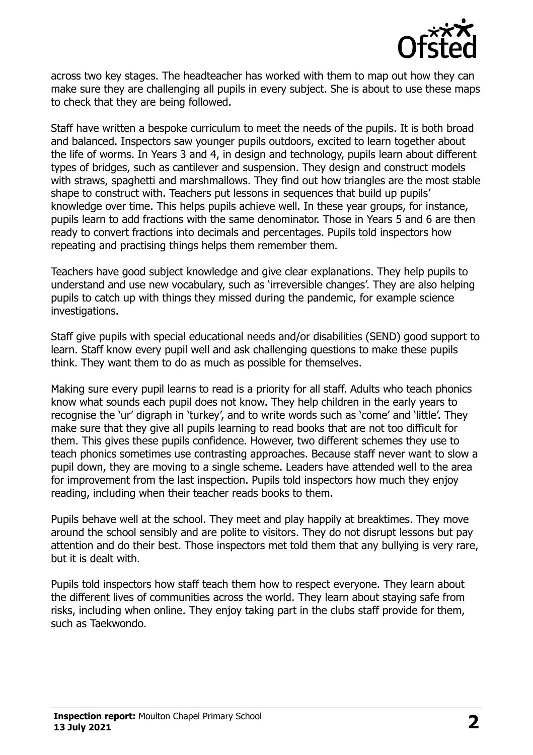

across two key stages. The headteacher has worked with them to map out how they can make sure they are challenging all pupils in every subject. She is about to use these maps to check that they are being followed.

Staff have written a bespoke curriculum to meet the needs of the pupils. It is both broad and balanced. Inspectors saw younger pupils outdoors, excited to learn together about the life of worms. In Years 3 and 4, in design and technology, pupils learn about different types of bridges, such as cantilever and suspension. They design and construct models with straws, spaghetti and marshmallows. They find out how triangles are the most stable shape to construct with. Teachers put lessons in sequences that build up pupils' knowledge over time. This helps pupils achieve well. In these year groups, for instance, pupils learn to add fractions with the same denominator. Those in Years 5 and 6 are then ready to convert fractions into decimals and percentages. Pupils told inspectors how repeating and practising things helps them remember them.

Teachers have good subject knowledge and give clear explanations. They help pupils to understand and use new vocabulary, such as 'irreversible changes'. They are also helping pupils to catch up with things they missed during the pandemic, for example science investigations.

Staff give pupils with special educational needs and/or disabilities (SEND) good support to learn. Staff know every pupil well and ask challenging questions to make these pupils think. They want them to do as much as possible for themselves.

Making sure every pupil learns to read is a priority for all staff. Adults who teach phonics know what sounds each pupil does not know. They help children in the early years to recognise the 'ur' digraph in 'turkey', and to write words such as 'come' and 'little'. They make sure that they give all pupils learning to read books that are not too difficult for them. This gives these pupils confidence. However, two different schemes they use to teach phonics sometimes use contrasting approaches. Because staff never want to slow a pupil down, they are moving to a single scheme. Leaders have attended well to the area for improvement from the last inspection. Pupils told inspectors how much they enjoy reading, including when their teacher reads books to them.

Pupils behave well at the school. They meet and play happily at breaktimes. They move around the school sensibly and are polite to visitors. They do not disrupt lessons but pay attention and do their best. Those inspectors met told them that any bullying is very rare, but it is dealt with.

Pupils told inspectors how staff teach them how to respect everyone. They learn about the different lives of communities across the world. They learn about staying safe from risks, including when online. They enjoy taking part in the clubs staff provide for them, such as Taekwondo.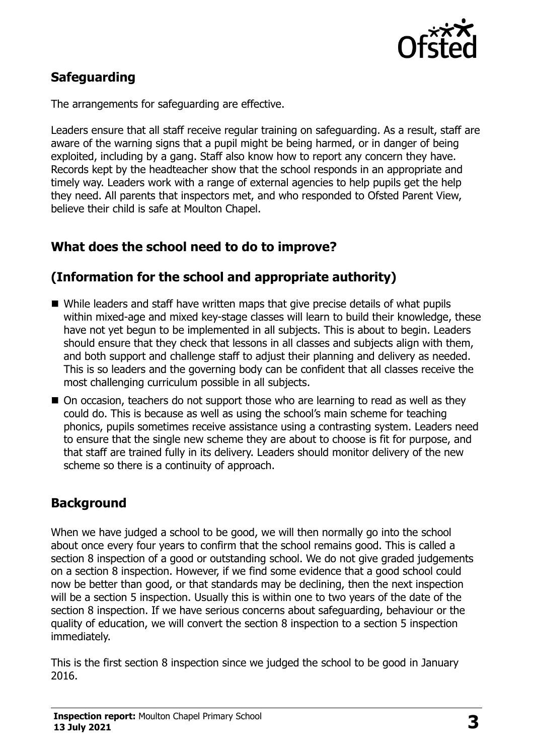

# **Safeguarding**

The arrangements for safeguarding are effective.

Leaders ensure that all staff receive regular training on safeguarding. As a result, staff are aware of the warning signs that a pupil might be being harmed, or in danger of being exploited, including by a gang. Staff also know how to report any concern they have. Records kept by the headteacher show that the school responds in an appropriate and timely way. Leaders work with a range of external agencies to help pupils get the help they need. All parents that inspectors met, and who responded to Ofsted Parent View, believe their child is safe at Moulton Chapel.

# **What does the school need to do to improve?**

## **(Information for the school and appropriate authority)**

- While leaders and staff have written maps that give precise details of what pupils within mixed-age and mixed key-stage classes will learn to build their knowledge, these have not yet begun to be implemented in all subjects. This is about to begin. Leaders should ensure that they check that lessons in all classes and subjects align with them, and both support and challenge staff to adjust their planning and delivery as needed. This is so leaders and the governing body can be confident that all classes receive the most challenging curriculum possible in all subjects.
- On occasion, teachers do not support those who are learning to read as well as they could do. This is because as well as using the school's main scheme for teaching phonics, pupils sometimes receive assistance using a contrasting system. Leaders need to ensure that the single new scheme they are about to choose is fit for purpose, and that staff are trained fully in its delivery. Leaders should monitor delivery of the new scheme so there is a continuity of approach.

# **Background**

When we have judged a school to be good, we will then normally go into the school about once every four years to confirm that the school remains good. This is called a section 8 inspection of a good or outstanding school. We do not give graded judgements on a section 8 inspection. However, if we find some evidence that a good school could now be better than good, or that standards may be declining, then the next inspection will be a section 5 inspection. Usually this is within one to two years of the date of the section 8 inspection. If we have serious concerns about safeguarding, behaviour or the quality of education, we will convert the section 8 inspection to a section 5 inspection immediately.

This is the first section 8 inspection since we judged the school to be good in January 2016.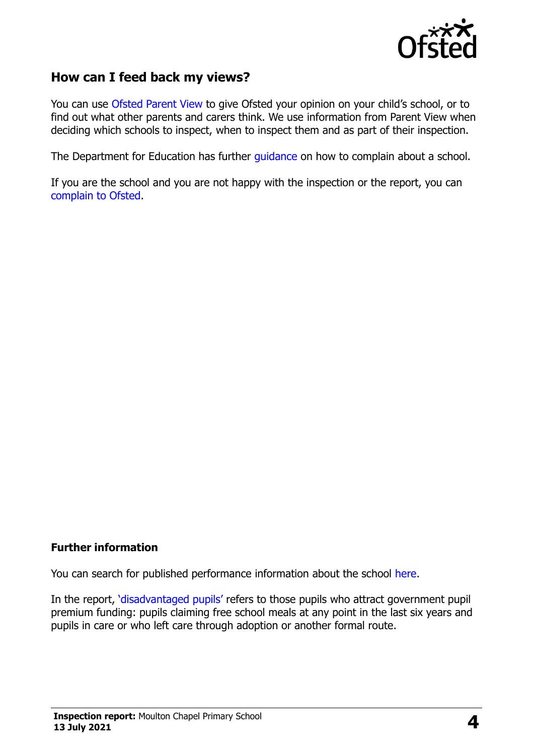

#### **How can I feed back my views?**

You can use [Ofsted Parent View](https://parentview.ofsted.gov.uk/) to give Ofsted your opinion on your child's school, or to find out what other parents and carers think. We use information from Parent View when deciding which schools to inspect, when to inspect them and as part of their inspection.

The Department for Education has further [guidance](http://www.gov.uk/complain-about-school) on how to complain about a school.

If you are the school and you are not happy with the inspection or the report, you can [complain to Ofsted.](https://www.gov.uk/complain-ofsted-report)

#### **Further information**

You can search for published performance information about the school [here.](http://www.compare-school-performance.service.gov.uk/)

In the report, '[disadvantaged pupils](http://www.gov.uk/guidance/pupil-premium-information-for-schools-and-alternative-provision-settings)' refers to those pupils who attract government pupil premium funding: pupils claiming free school meals at any point in the last six years and pupils in care or who left care through adoption or another formal route.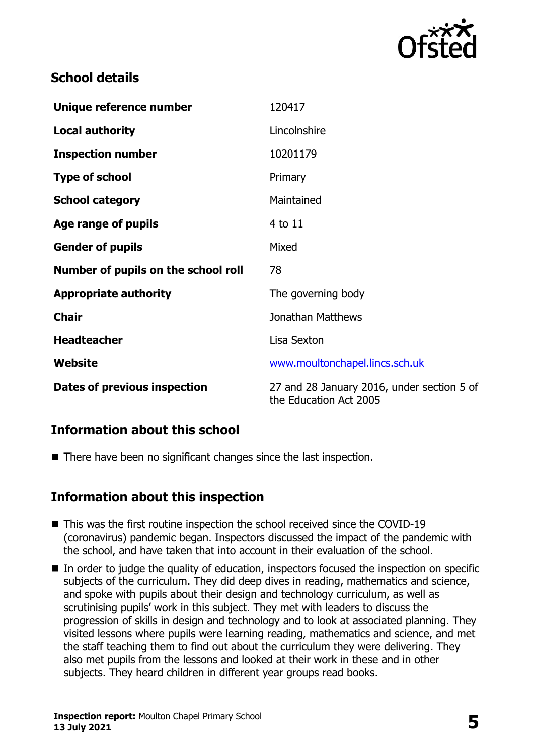

## **School details**

| Unique reference number             | 120417                                                               |
|-------------------------------------|----------------------------------------------------------------------|
| <b>Local authority</b>              | Lincolnshire                                                         |
| <b>Inspection number</b>            | 10201179                                                             |
| <b>Type of school</b>               | Primary                                                              |
| <b>School category</b>              | Maintained                                                           |
| Age range of pupils                 | 4 to 11                                                              |
| <b>Gender of pupils</b>             | Mixed                                                                |
| Number of pupils on the school roll | 78                                                                   |
| <b>Appropriate authority</b>        | The governing body                                                   |
| <b>Chair</b>                        | Jonathan Matthews                                                    |
| <b>Headteacher</b>                  | Lisa Sexton                                                          |
| <b>Website</b>                      | www.moultonchapel.lincs.sch.uk                                       |
| Dates of previous inspection        | 27 and 28 January 2016, under section 5 of<br>the Education Act 2005 |

# **Information about this school**

■ There have been no significant changes since the last inspection.

#### **Information about this inspection**

- This was the first routine inspection the school received since the COVID-19 (coronavirus) pandemic began. Inspectors discussed the impact of the pandemic with the school, and have taken that into account in their evaluation of the school.
- In order to judge the quality of education, inspectors focused the inspection on specific subjects of the curriculum. They did deep dives in reading, mathematics and science, and spoke with pupils about their design and technology curriculum, as well as scrutinising pupils' work in this subject. They met with leaders to discuss the progression of skills in design and technology and to look at associated planning. They visited lessons where pupils were learning reading, mathematics and science, and met the staff teaching them to find out about the curriculum they were delivering. They also met pupils from the lessons and looked at their work in these and in other subjects. They heard children in different year groups read books.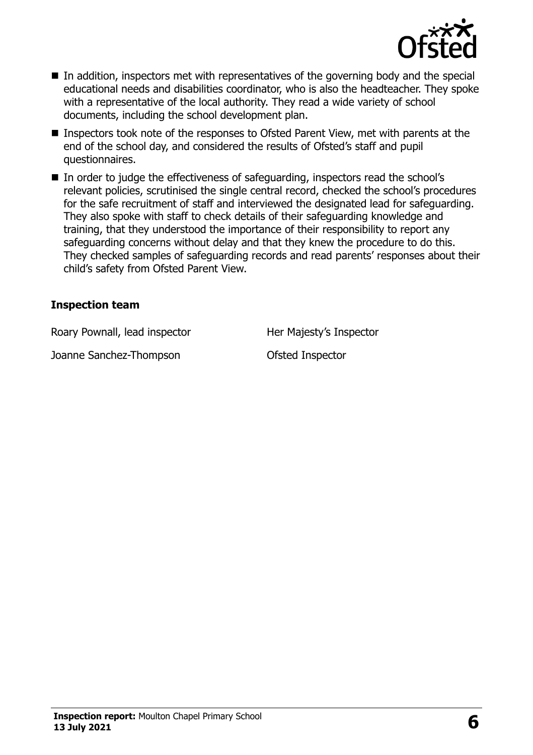

- In addition, inspectors met with representatives of the governing body and the special educational needs and disabilities coordinator, who is also the headteacher. They spoke with a representative of the local authority. They read a wide variety of school documents, including the school development plan.
- Inspectors took note of the responses to Ofsted Parent View, met with parents at the end of the school day, and considered the results of Ofsted's staff and pupil questionnaires.
- In order to judge the effectiveness of safeguarding, inspectors read the school's relevant policies, scrutinised the single central record, checked the school's procedures for the safe recruitment of staff and interviewed the designated lead for safeguarding. They also spoke with staff to check details of their safeguarding knowledge and training, that they understood the importance of their responsibility to report any safeguarding concerns without delay and that they knew the procedure to do this. They checked samples of safeguarding records and read parents' responses about their child's safety from Ofsted Parent View.

#### **Inspection team**

Roary Pownall, lead inspector **Her Majesty's Inspector** 

Joanne Sanchez-Thompson Ofsted Inspector